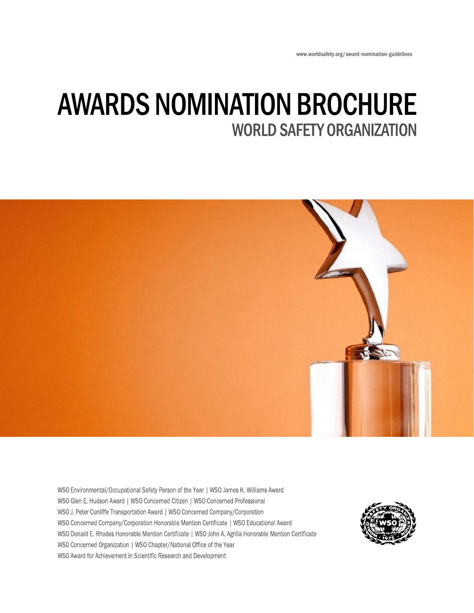www.worldsafety.org/award-nomination-guidelines

# **AWARDS NOMINATION BROCHURE WORLD SAFETY ORGANIZATION**



WSO Environmental/Occupational Safety Person of the Year | WSO James K. Williams Award WSO Glen E. Hudson Award | WSO Concerned Citizen | WSO Concerned Professional WSO J. Peter Cunliffe Transportation Award | WSO Concerned Company/Corporation WSO Concerned Company/Corporation Honorable Mention Certificate | WSO Educational Award WSO Donald E. Rhodes Honorable Mention Certificate | WSO John A. Agrilla Honorable Mention Certificate WSO Concerned Organization | WSO Chapter/National Office of the Year WSO Award for Achievement in Scientific Research and Development

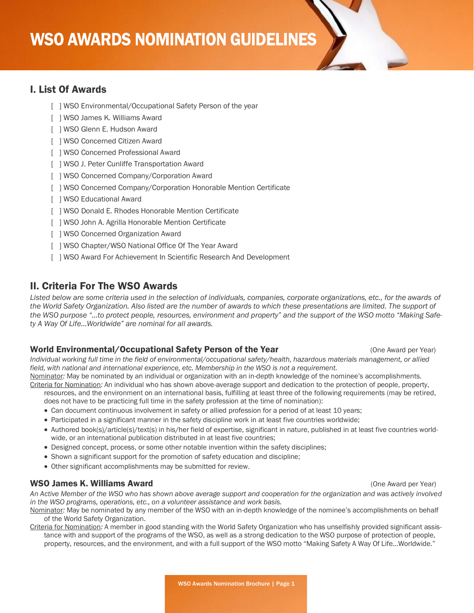## **WSO AWARDS NOMINATION GUIDELINES**

#### I. List Of Awards

- [ ] WSO Environmental/Occupational Safety Person of the year
- [ ] WSO James K. Williams Award
- [ ] WSO Glenn E. Hudson Award
- [ ] WSO Concerned Citizen Award
- [ ] WSO Concerned Professional Award
- [ ] WSO J. Peter Cunliffe Transportation Award
- [ ] WSO Concerned Company/Corporation Award
- [ ] WSO Concerned Company/Corporation Honorable Mention Certificate
- [ ] WSO Educational Award
- [ ] WSO Donald E. Rhodes Honorable Mention Certificate
- [ ] WSO John A. Agrilla Honorable Mention Certificate
- [ ] WSO Concerned Organization Award
- [ ] WSO Chapter/WSO National Office Of The Year Award
- [ ] WSO Award For Achievement In Scientific Research And Development

#### II. Criteria For The WSO Awards

*Listed below are some criteria used in the selection of individuals, companies, corporate organizations, etc., for the awards of the World Safety Organization. Also listed are the number of awards to which these presentations are limited. The support of the WSO purpose "…to protect people, resources, environment and property" and the support of the WSO motto "Making Safety A Way Of Life…Worldwide" are nominal for all awards.*

#### World Environmental/Occupational Safety Person of the Year (One Award per Year)

*Individual working full time in the field of environmental/occupational safety/health, hazardous materials management, or allied field, with national and international experience, etc. Membership in the WSO is not a requirement.*

Nominator*:* May be nominated by an individual or organization with an in-depth knowledge of the nominee's accomplishments. Criteria for Nomination*:* An individual who has shown above-average support and dedication to the protection of people, property, resources, and the environment on an international basis, fulfilling at least three of the following requirements (may be retired,

does not have to be practicing full time in the safety profession at the time of nomination):

- Can document continuous involvement in safety or allied profession for a period of at least 10 years;
- Participated in a significant manner in the safety discipline work in at least five countries worldwide;
- Authored book(s)/article(s)/text(s) in his/her field of expertise, significant in nature, published in at least five countries worldwide, or an international publication distributed in at least five countries;
- Designed concept, process, or some other notable invention within the safety disciplines;
- Shown a significant support for the promotion of safety education and discipline;
- Other significant accomplishments may be submitted for review.

#### WSO James K. Williams Award **Construction Construction Construction** Construction Construction Construction Construction Construction Construction Construction Construction Construction Construction Construction Constructi

*An Active Member of the WSO who has shown above average support and cooperation for the organization and was actively involved in the WSO programs, operations, etc., on a volunteer assistance and work basis.*

- Nominator*:* May be nominated by any member of the WSO with an in-depth knowledge of the nominee's accomplishments on behalf of the World Safety Organization.
- Criteria for Nomination*:* A member in good standing with the World Safety Organization who has unselfishly provided significant assistance with and support of the programs of the WSO, as well as a strong dedication to the WSO purpose of protection of people, property, resources, and the environment, and with a full support of the WSO motto "Making Safety A Way Of Life…Worldwide."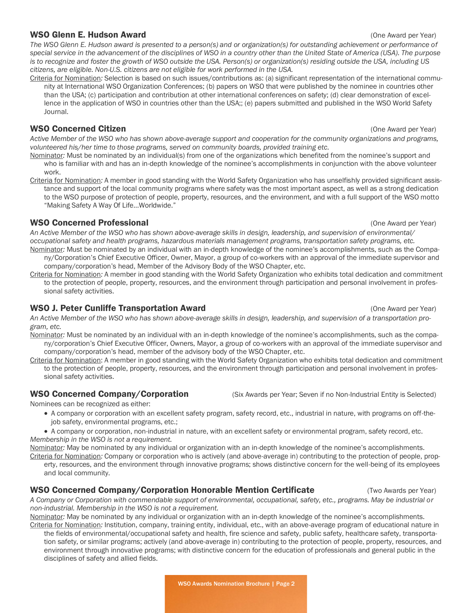#### WSO Glenn E. Hudson Award **Constanting Constanting Constanting Constanting Constanting Constanting Constanting Constanting Constanting Constanting Constanting Constanting Constanting Constanting Constanting Constanting Con**

*The WSO Glenn E. Hudson award is presented to a person(s) and or organization(s) for outstanding achievement or performance of special service in the advancement of the disciplines of WSO in a country other than the United State of America (USA). The purpose is to recognize and foster the growth of WSO outside the USA. Person(s) or organization(s) residing outside the USA, including US citizens, are eligible. Non-U.S. citizens are not eligible for work performed in the USA.*

Criteria for Nomination*:* Selection is based on such issues/contributions as: (a) significant representation of the international community at International WSO Organization Conferences; (b) papers on WSO that were published by the nominee in countries other than the USA; (c) participation and contribution at other international conferences on safety; (d) clear demonstration of excellence in the application of WSO in countries other than the USA;; (e) papers submitted and published in the WSO World Safety Journal.

#### **WSO Concerned Citizen** (One Award per Year) **WSO Concerned Citizen** (One Award per Year)

*Active Member of the WSO who has shown above-average support and cooperation for the community organizations and programs, volunteered his/her time to those programs, served on community boards, provided training etc.*

- Nominator*:* Must be nominated by an individual(s) from one of the organizations which benefited from the nominee's support and who is familiar with and has an in-depth knowledge of the nominee's accomplishments in conjunction with the above volunteer work.
- Criteria for Nomination*:* A member in good standing with the World Safety Organization who has unselfishly provided significant assistance and support of the local community programs where safety was the most important aspect, as well as a strong dedication to the WSO purpose of protection of people, property, resources, and the environment, and with a full support of the WSO motto "Making Safety A Way Of Life…Worldwide."

#### **WSO Concerned Professional Concerned Automobile Concerned Professional Concerned Avard per Year)**

*An Active Member of the WSO who has shown above-average skills in design, leadership, and supervision of environmental/ occupational safety and health programs, hazardous materials management programs, transportation safety programs, etc.* Nominator*:* Must be nominated by an individual with an in-depth knowledge of the nominee's accomplishments, such as the Compa-

- ny/Corporation's Chief Executive Officer, Owner, Mayor, a group of co-workers with an approval of the immediate supervisor and company/corporation's head, Member of the Advisory Body of the WSO Chapter, etc.
- Criteria for Nomination*:* A member in good standing with the World Safety Organization who exhibits total dedication and commitment to the protection of people, property, resources, and the environment through participation and personal involvement in professional safety activities.

#### WSO J. Peter Cunliffe Transportation Award (One Award per Year) and the Control of Award per Year)

*An Active Member of the WSO who has shown above-average skills in design, leadership, and supervision of a transportation program, etc.*

- Nominator*:* Must be nominated by an individual with an in-depth knowledge of the nominee's accomplishments, such as the company/corporation's Chief Executive Officer, Owners, Mayor, a group of co-workers with an approval of the immediate supervisor and company/corporation's head, member of the advisory body of the WSO Chapter, etc.
- Criteria for Nomination: A member in good standing with the World Safety Organization who exhibits total dedication and commitment to the protection of people, property, resources, and the environment through participation and personal involvement in professional safety activities.

### WSO Concerned Company/Corporation (Six Awards per Year; Seven if no Non-Industrial Entity is Selected)

Nominees can be recognized as either:

- A company or corporation with an excellent safety program, safety record, etc., industrial in nature, with programs on off-thejob safety, environmental programs, etc.;
- A company or corporation, non-industrial in nature, with an excellent safety or environmental program, safety record, etc. *Membership in the WSO is not a requirement.*

Nominator*:* May be nominated by any individual or organization with an in-depth knowledge of the nominee's accomplishments. Criteria for Nomination*:* Company or corporation who is actively (and above-average in) contributing to the protection of people, prop-

erty, resources, and the environment through innovative programs; shows distinctive concern for the well-being of its employees and local community.

### WSO Concerned Company/Corporation Honorable Mention Certificate (Two Awards per Year)

*A Company or Corporation with commendable support of environmental, occupational, safety, etc., programs. May be industrial or non-industrial. Membership in the WSO is not a requirement.*

Nominator*:* May be nominated by any individual or organization with an in-depth knowledge of the nominee's accomplishments. Criteria for Nomination*:* Institution, company, training entity, individual, etc., with an above-average program of educational nature in the fields of environmental/occupational safety and health, fire science and safety, public safety, healthcare safety, transporta-

tion safety, or similar programs; actively (and above-average in) contributing to the protection of people, property, resources, and environment through innovative programs; with distinctive concern for the education of professionals and general public in the disciplines of safety and allied fields.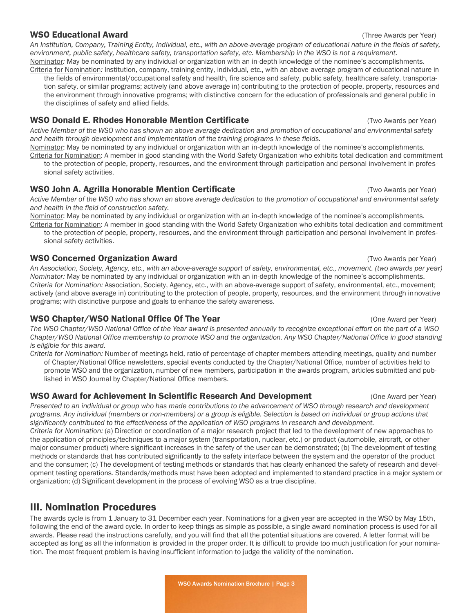#### WSO Educational Award **Example 2018** and the example of the Awards per Year) **WSO** Educational Awards per Year)

*An Institution, Company, Training Entity, Individual, etc., with an above-average program of educational nature in the fields of safety, environment, public safety, healthcare safety, transportation safety, etc. Membership in the WSO is not a requirement.* Nominator*:* May be nominated by any individual or organization with an in-depth knowledge of the nominee's accomplishments.

Criteria for Nomination*:* Institution, company, training entity, individual, etc., with an above-average program of educational nature in the fields of environmental/occupational safety and health, fire science and safety, public safety, healthcare safety, transportation safety, or similar programs; actively (and above average in) contributing to the protection of people, property, resources and the environment through innovative programs; with distinctive concern for the education of professionals and general public in the disciplines of safety and allied fields.

#### **WSO Donald E. Rhodes Honorable Mention Certificate Canadian Construct Canadian Construct Construct A** (Two Awards per Year)

*Active Member of the WSO who has shown an above average dedication and promotion of occupational and environmental safety and health through development and implementation of the training programs in these fields.*

Nominator: May be nominated by any individual or organization with an in-depth knowledge of the nominee's accomplishments. Criteria for Nomination: A member in good standing with the World Safety Organization who exhibits total dedication and commitment to the protection of people, property, resources, and the environment through participation and personal involvement in professional safety activities.

#### **WSO John A. Agrilla Honorable Mention Certificate** (Two Awards per Year)

*Active Member of the WSO who has shown an above average dedication to the promotion of occupational and environmental safety and health in the field of construction safety.*

Nominator: May be nominated by any individual or organization with an in-depth knowledge of the nominee's accomplishments.

Criteria for Nomination: A member in good standing with the World Safety Organization who exhibits total dedication and commitment to the protection of people, property, resources, and the environment through participation and personal involvement in professional safety activities.

#### **WSO Concerned Organization Award** (The Sample of Two Awards per Year) **WSO Concerned Organization Award**

*An Association, Society, Agency, etc., with an above-average support of safety, environmental, etc., movement. (two awards per year) Nominator:* May be nominated by any individual or organization with an in-depth knowledge of the nominee's accomplishments. *Criteria for Nomination:* Association, Society, Agency, etc., with an above-average support of safety, environmental, etc., movement; actively (and above average in) contributing to the protection of people, property, resources, and the environment through innovative programs; with distinctive purpose and goals to enhance the safety awareness.

#### WSO Chapter/WSO National Office Of The Year (One Award per Year) (One Award per Year)

*The WSO Chapter/WSO National Office of the Year award is presented annually to recognize exceptional effort on the part of a WSO Chapter/WSO National Office membership to promote WSO and the organization. Any WSO Chapter/National Office in good standing is eligible for this award.*

*Criteria for Nomination:* Number of meetings held, ratio of percentage of chapter members attending meetings, quality and number of Chapter/National Office newsletters, special events conducted by the Chapter/National Office, number of activities held to promote WSO and the organization, number of new members, participation in the awards program, articles submitted and published in WSO Journal by Chapter/National Office members.

#### WSO Award for Achievement In Scientific Research And Development (One Award per Year)

*Presented to an individual or group who has made contributions to the advancement of WSO through research and development programs. Any individual (members or non-members) or a group is eligible. Selection is based on individual or group actions that significantly contributed to the effectiveness of the application of WSO programs in research and development. Criteria for Nomination:* (a) Direction or coordination of a major research project that led to the development of new approaches to the application of principles/techniques to a major system (transportation, nuclear, etc.) or product (automobile, aircraft, or other major consumer product) where significant increases in the safety of the user can be demonstrated; (b) The development of testing methods or standards that has contributed significantly to the safety interface between the system and the operator of the product and the consumer; (c) The development of testing methods or standards that has clearly enhanced the safety of research and development testing operations. Standards/methods must have been adopted and implemented to standard practice in a major system or organization; (d) Significant development in the process of evolving WSO as a true discipline.

### III. Nomination Procedures

The awards cycle is from 1 January to 31 December each year. Nominations for a given year are accepted in the WSO by May 15th, following the end of the award cycle. In order to keep things as simple as possible, a single award nomination process is used for all awards. Please read the instructions carefully, and you will find that all the potential situations are covered. A letter format will be accepted as long as all the information is provided in the proper order. It is difficult to provide too much justification for your nomination. The most frequent problem is having insufficient information to judge the validity of the nomination.